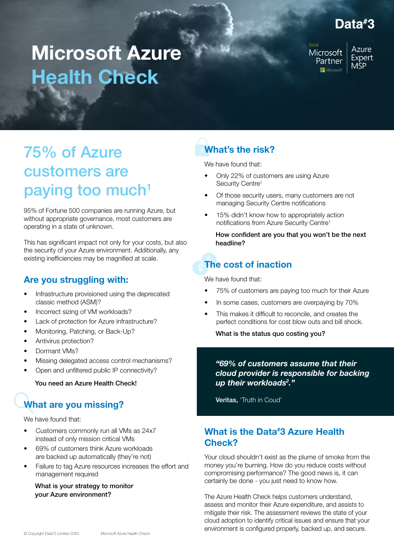### Data#8

# Microsoft Azure Health Check

Microsoft Partner Microsoft

**Azure** Expert **MSP** 

## 75% of Azure customers are paying too much $1$

95% of Fortune 500 companies are running Azure, but without appropriate governance, most customers are operating in a state of unknown.

This has significant impact not only for your costs, but also the security of your Azure environment. Additionally, any existing inefficiencies may be magnified at scale.

### Are you struggling with:

- Infrastructure provisioned using the deprecated classic method (ASM)?
- Incorrect sizing of VM workloads?
- Lack of protection for Azure infrastructure?
- Monitoring, Patching, or Back-Up?
- Antivirus protection?
- Dormant VMs?
- Missing delegated access control mechanisms?
- Open and unfiltered public IP connectivity?

#### You need an Azure Health Check!

### What are you missing?

We have found that:

- Customers commonly run all VMs as 24x7 instead of only mission critical VMs
- 69% of customers think Azure workloads are backed up automatically (they're not)
- Failure to tag Azure resources increases the effort and management required

What is your strategy to monitor your Azure environment?

### What's the risk?

We have found that:

- Only 22% of customers are using Azure Security Centre<sup>1</sup>
- Of those security users, many customers are not managing Security Centre notifications
- 15% didn't know how to appropriately action notifications from Azure Security Centre1

How confident are you that you won't be the next headline?

### The cost of inaction

We have found that:

- 75% of customers are paying too much for their Azure
- In some cases, customers are overpaying by 70%
- This makes it difficult to reconcile, and creates the perfect conditions for cost blow outs and bill shock.

What is the status quo costing you?

*"69% of customers assume that their cloud provider is responsible for backing up their workloads2 ."*

Veritas, 'Truth in Coud'

### What is the Data# 3 Azure Health Check?

Your cloud shouldn't exist as the plume of smoke from the money you're burning. How do you reduce costs without compromising performance? The good news is, it can certainly be done - you just need to know how.

The Azure Health Check helps customers understand, assess and monitor their Azure expenditure, and assists to mitigate their risk. The assessment reviews the state of your cloud adoption to identify critical issues and ensure that your environment is configured properly, backed up, and secure.